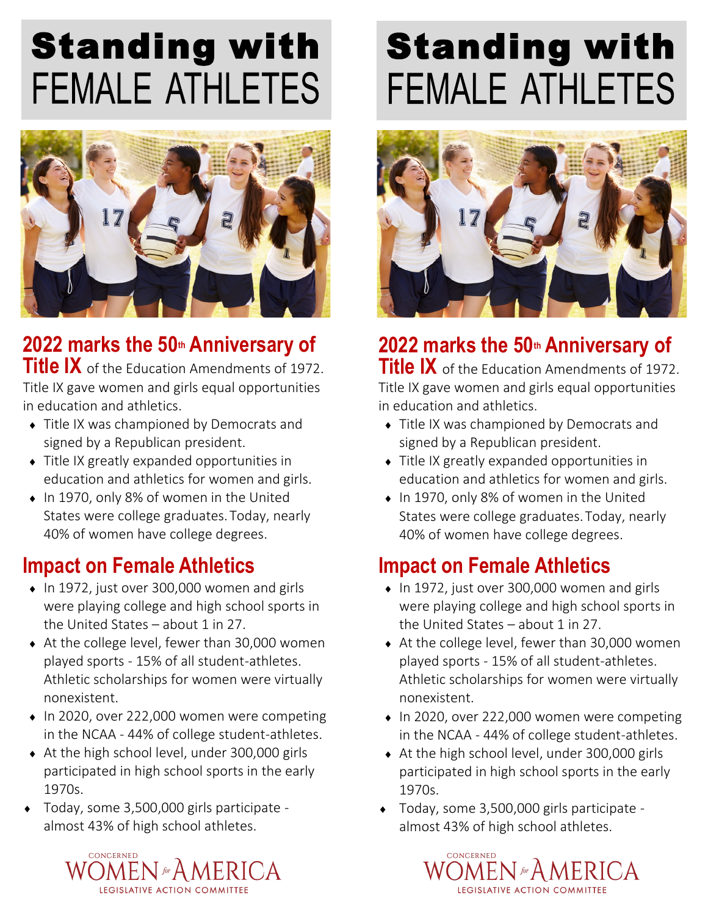# Standing with **FEMALE ATHLETES**



**2022 marks the 50th Anniversary of Title IX** of the Education Amendments of 1972. Title IX gave women and girls equal opportunities in education and athletics.

- Title IX was championed by Democrats and signed by a Republican president.
- Title IX greatly expanded opportunities in education and athletics for women and girls.
- ◆ In 1970, only 8% of women in the United States were college graduates.Today, nearly 40% of women have college degrees.

#### **Impact on Female Athletics**

- $\bullet$  In 1972, just over 300,000 women and girls were playing college and high school sports in the United States  $-$  about 1 in 27.
- ◆ At the college level, fewer than 30,000 women played sports - 15% of all student-athletes. Athletic scholarships for women were virtually nonexistent.
- ◆ In 2020, over 222,000 women were competing in the NCAA - 44% of college student-athletes.
- At the high school level, under 300,000 girls participated in high school sports in the early 1970s.
- Today, some 3,500,000 girls participate almost 43% of high school athletes.



# Standing with **FEMALE ATHLETES**



### **2022 marks the 50th Anniversary of**

**Title IX** of the Education Amendments of 1972. Title IX gave women and girls equal opportunities in education and athletics.

- Title IX was championed by Democrats and signed by a Republican president.
- Title IX greatly expanded opportunities in education and athletics for women and girls.
- ◆ In 1970, only 8% of women in the United States were college graduates.Today, nearly 40% of women have college degrees.

### **Impact on Female Athletics**

- $\bullet$  In 1972, just over 300,000 women and girls were playing college and high school sports in the United States – about 1 in 27.
- ◆ At the college level, fewer than 30,000 women played sports - 15% of all student-athletes. Athletic scholarships for women were virtually nonexistent.
- $\bullet$  In 2020, over 222,000 women were competing in the NCAA - 44% of college student-athletes.
- At the high school level, under 300,000 girls participated in high school sports in the early 1970s.
- Today, some 3,500,000 girls participate almost 43% of high school athletes.